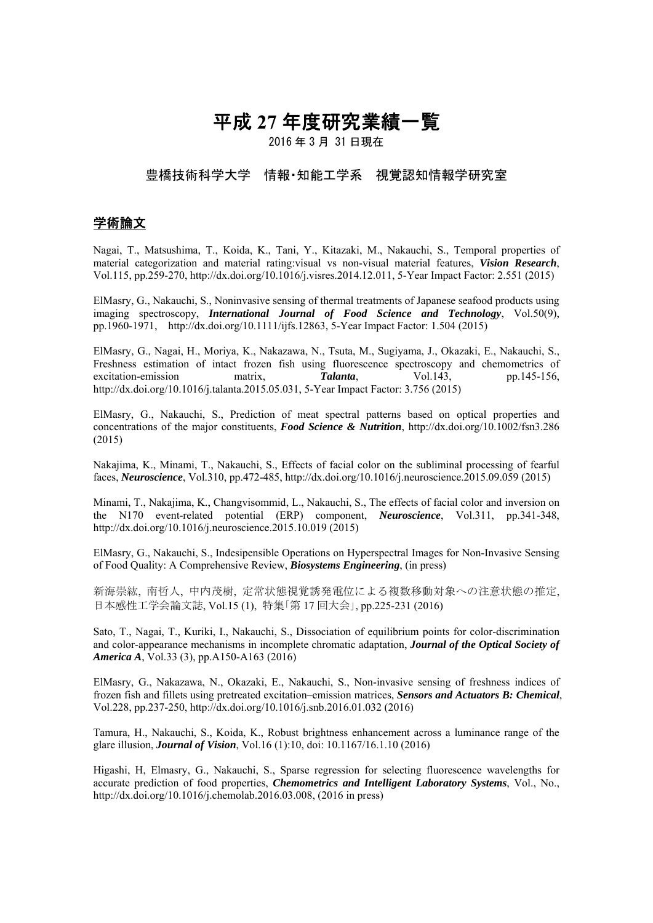# 平成 **27** 年度研究業績一覧

2016 年 3 月 31 日現在

# 豊橋技術科学大学 情報・知能工学系 視覚認知情報学研究室

## 学術論文

Nagai, T., Matsushima, T., Koida, K., Tani, Y., Kitazaki, M., Nakauchi, S., Temporal properties of material categorization and material rating:visual vs non-visual material features, *Vision Research*, Vol.115, pp.259-270, http://dx.doi.org/10.1016/j.visres.2014.12.011, 5-Year Impact Factor: 2.551 (2015)

ElMasry, G., Nakauchi, S., Noninvasive sensing of thermal treatments of Japanese seafood products using imaging spectroscopy, *International Journal of Food Science and Technology*, Vol.50(9), pp.1960-1971, http://dx.doi.org/10.1111/ijfs.12863, 5-Year Impact Factor: 1.504 (2015)

ElMasry, G., Nagai, H., Moriya, K., Nakazawa, N., Tsuta, M., Sugiyama, J., Okazaki, E., Nakauchi, S., Freshness estimation of intact frozen fish using fluorescence spectroscopy and chemometrics of excitation-emission matrix, *Talanta*, Vol.143, pp.145-156, http://dx.doi.org/10.1016/j.talanta.2015.05.031, 5-Year Impact Factor: 3.756 (2015)

ElMasry, G., Nakauchi, S., Prediction of meat spectral patterns based on optical properties and concentrations of the major constituents, *Food Science & Nutrition*, http://dx.doi.org/10.1002/fsn3.286 (2015)

Nakajima, K., Minami, T., Nakauchi, S., Effects of facial color on the subliminal processing of fearful faces, *Neuroscience*, Vol.310, pp.472-485, http://dx.doi.org/10.1016/j.neuroscience.2015.09.059 (2015)

Minami, T., Nakajima, K., Changvisommid, L., Nakauchi, S., The effects of facial color and inversion on the N170 event-related potential (ERP) component, *Neuroscience*, Vol.311, pp.341-348, http://dx.doi.org/10.1016/j.neuroscience.2015.10.019 (2015)

ElMasry, G., Nakauchi, S., Indesipensible Operations on Hyperspectral Images for Non-Invasive Sensing of Food Quality: A Comprehensive Review, *Biosystems Engineering*, (in press)

新海崇紘, 南哲人, 中内茂樹, 定常状態視覚誘発電位による複数移動対象への注意状態の推定, 日本感性工学会論文誌, Vol.15 (1), 特集「第 17 回大会」, pp.225-231 (2016)

Sato, T., Nagai, T., Kuriki, I., Nakauchi, S., Dissociation of equilibrium points for color-discrimination and color-appearance mechanisms in incomplete chromatic adaptation, *Journal of the Optical Society of America A*, Vol.33 (3), pp.A150-A163 (2016)

ElMasry, G., Nakazawa, N., Okazaki, E., Nakauchi, S., Non-invasive sensing of freshness indices of frozen fish and fillets using pretreated excitation–emission matrices, *Sensors and Actuators B: Chemical*, Vol.228, pp.237-250, http://dx.doi.org/10.1016/j.snb.2016.01.032 (2016)

Tamura, H., Nakauchi, S., Koida, K., Robust brightness enhancement across a luminance range of the glare illusion, *Journal of Vision*, Vol.16 (1):10, doi: 10.1167/16.1.10 (2016)

Higashi, H, Elmasry, G., Nakauchi, S., Sparse regression for selecting fluorescence wavelengths for accurate prediction of food properties, *Chemometrics and Intelligent Laboratory Systems*, Vol., No., http://dx.doi.org/10.1016/j.chemolab.2016.03.008, (2016 in press)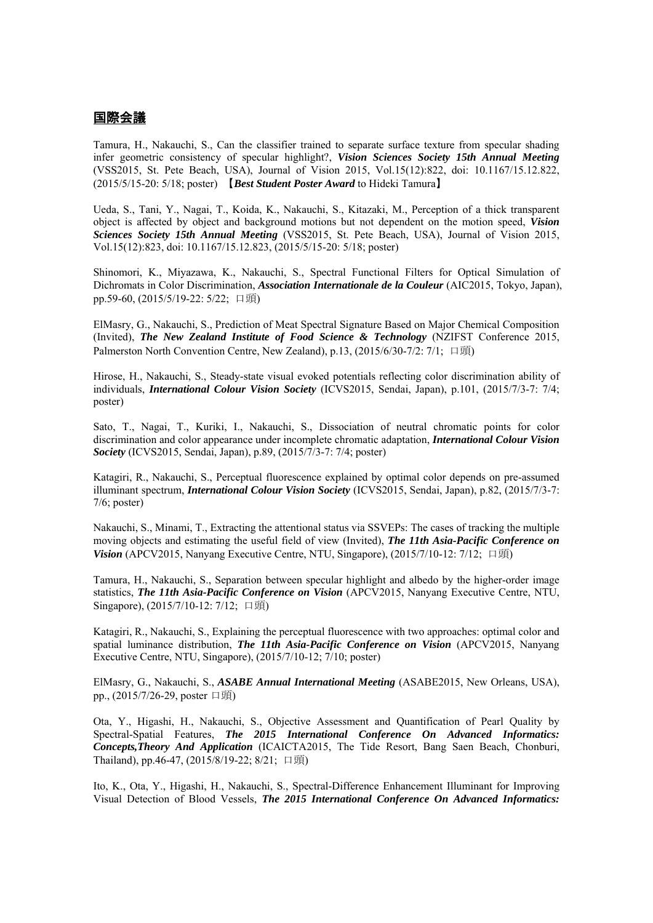### 国際会議

Tamura, H., Nakauchi, S., Can the classifier trained to separate surface texture from specular shading infer geometric consistency of specular highlight?, *Vision Sciences Society 15th Annual Meeting* (VSS2015, St. Pete Beach, USA), Journal of Vision 2015, Vol.15(12):822, doi: 10.1167/15.12.822, (2015/5/15-20: 5/18; poster) 【*Best Student Poster Award* to Hideki Tamura】

Ueda, S., Tani, Y., Nagai, T., Koida, K., Nakauchi, S., Kitazaki, M., Perception of a thick transparent object is affected by object and background motions but not dependent on the motion speed, *Vision Sciences Society 15th Annual Meeting* (VSS2015, St. Pete Beach, USA), Journal of Vision 2015, Vol.15(12):823, doi: 10.1167/15.12.823, (2015/5/15-20: 5/18; poster)

Shinomori, K., Miyazawa, K., Nakauchi, S., Spectral Functional Filters for Optical Simulation of Dichromats in Color Discrimination, *Association Internationale de la Couleur* (AIC2015, Tokyo, Japan), pp.59-60, (2015/5/19-22: 5/22; 口頭)

ElMasry, G., Nakauchi, S., Prediction of Meat Spectral Signature Based on Major Chemical Composition (Invited), *The New Zealand Institute of Food Science & Technology* (NZIFST Conference 2015, Palmerston North Convention Centre, New Zealand), p.13, (2015/6/30-7/2: 7/1; 口頭)

Hirose, H., Nakauchi, S., Steady-state visual evoked potentials reflecting color discrimination ability of individuals, *International Colour Vision Society* (ICVS2015, Sendai, Japan), p.101, (2015/7/3-7: 7/4; poster)

Sato, T., Nagai, T., Kuriki, I., Nakauchi, S., Dissociation of neutral chromatic points for color discrimination and color appearance under incomplete chromatic adaptation, *International Colour Vision Society* (ICVS2015, Sendai, Japan), p.89, (2015/7/3-7: 7/4; poster)

Katagiri, R., Nakauchi, S., Perceptual fluorescence explained by optimal color depends on pre-assumed illuminant spectrum, *International Colour Vision Society* (ICVS2015, Sendai, Japan), p.82, (2015/7/3-7: 7/6; poster)

Nakauchi, S., Minami, T., Extracting the attentional status via SSVEPs: The cases of tracking the multiple moving objects and estimating the useful field of view (Invited), *The 11th Asia-Pacific Conference on Vision* (APCV2015, Nanyang Executive Centre, NTU, Singapore), (2015/7/10−12: 7/12; 口頭)

Tamura, H., Nakauchi, S., Separation between specular highlight and albedo by the higher-order image statistics, *The 11th Asia-Pacific Conference on Vision* (APCV2015, Nanyang Executive Centre, NTU, Singapore), (2015/7/10-12: 7/12; 口頭)

Katagiri, R., Nakauchi, S., Explaining the perceptual fluorescence with two approaches: optimal color and spatial luminance distribution, *The 11th Asia-Pacific Conference on Vision* (APCV2015, Nanyang Executive Centre, NTU, Singapore), (2015/7/10-12; 7/10; poster)

ElMasry, G., Nakauchi, S., *ASABE Annual International Meeting* (ASABE2015, New Orleans, USA), pp., (2015/7/26-29, poster 口頭)

Ota, Y., Higashi, H., Nakauchi, S., Objective Assessment and Quantification of Pearl Quality by Spectral-Spatial Features, *The 2015 International Conference On Advanced Informatics: Concepts,Theory And Application* (ICAICTA2015, The Tide Resort, Bang Saen Beach, Chonburi, Thailand), pp.46-47, (2015/8/19-22; 8/21; 口頭)

Ito, K., Ota, Y., Higashi, H., Nakauchi, S., Spectral-Difference Enhancement Illuminant for Improving Visual Detection of Blood Vessels, *The 2015 International Conference On Advanced Informatics:*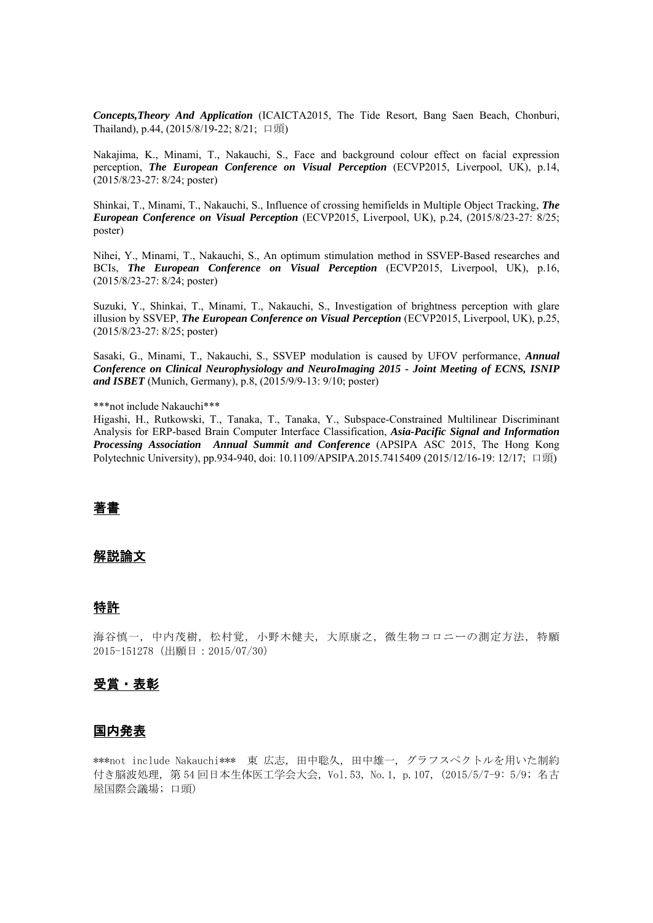*Concepts,Theory And Application* (ICAICTA2015, The Tide Resort, Bang Saen Beach, Chonburi, Thailand), p.44, (2015/8/19-22; 8/21; 口頭)

Nakajima, K., Minami, T., Nakauchi, S., Face and background colour effect on facial expression perception, *The European Conference on Visual Perception* (ECVP2015, Liverpool, UK), p.14, (2015/8/23-27: 8/24; poster)

Shinkai, T., Minami, T., Nakauchi, S., Influence of crossing hemifields in Multiple Object Tracking, *The European Conference on Visual Perception* (ECVP2015, Liverpool, UK), p.24, (2015/8/23-27: 8/25; poster)

Nihei, Y., Minami, T., Nakauchi, S., An optimum stimulation method in SSVEP-Based researches and BCIs, *The European Conference on Visual Perception* (ECVP2015, Liverpool, UK), p.16, (2015/8/23-27: 8/24; poster)

Suzuki, Y., Shinkai, T., Minami, T., Nakauchi, S., Investigation of brightness perception with glare illusion by SSVEP, *The European Conference on Visual Perception* (ECVP2015, Liverpool, UK), p.25, (2015/8/23-27: 8/25; poster)

Sasaki, G., Minami, T., Nakauchi, S., SSVEP modulation is caused by UFOV performance, *Annual Conference on Clinical Neurophysiology and NeuroImaging 2015 - Joint Meeting of ECNS, ISNIP and ISBET* (Munich, Germany), p.8, (2015/9/9-13: 9/10; poster)

\*\*\*not include Nakauchi\*\*\*

Higashi, H., Rutkowski, T., Tanaka, T., Tanaka, Y., Subspace-Constrained Multilinear Discriminant Analysis for ERP-based Brain Computer Interface Classification, *Asia-Pacific Signal and Information Processing Association Annual Summit and Conference* (APSIPA ASC 2015, The Hong Kong Polytechnic University), pp.934-940, doi: 10.1109/APSIPA.2015.7415409 (2015/12/16-19: 12/17; 口頭)

#### 著書

#### 解説論文

#### 特許

海谷慎一, 中内茂樹, 松村覚, 小野木健夫, 大原康之, 微生物コロニーの測定方法, 特願 2015-151278(出願日:2015/07/30)

#### 受賞・表彰

#### 国内発表

\*\*\*not include Nakauchi\*\*\* 東 広志, 田中聡久, 田中雄一, グラフスペクトルを用いた制約 付き脳波処理,第 54 回日本生体医工学会大会, Vol.53, No.1, p.107, (2015/5/7-9: 5/9; 名古 屋国際会議場; 口頭)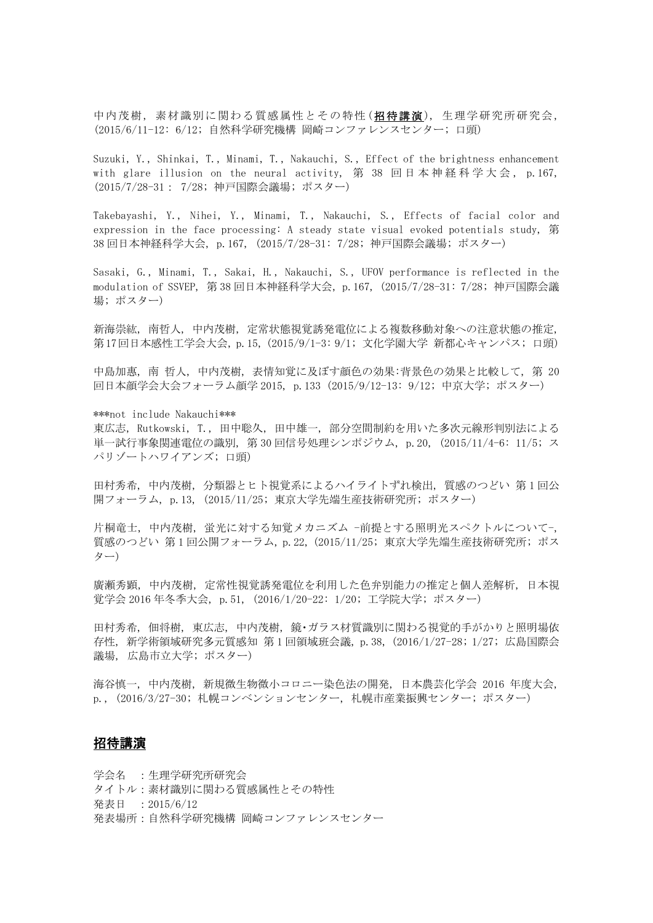中内茂樹, 素材識別に関わる質感属性とその特性 (招待講演), 生理学研究所研究会, (2015/6/11-12: 6/12; 自然科学研究機構 岡崎コンファレンスセンター; 口頭)

Suzuki, Y., Shinkai, T., Minami, T., Nakauchi, S., Effect of the brightness enhancement with glare illusion on the neural activity, 第 38 回日本神経科学大会, p.167, (2015/7/28-31: 7/28; 神戸国際会議場; ポスター)

Takebayashi, Y., Nihei, Y., Minami, T., Nakauchi, S., Effects of facial color and expression in the face processing: A steady state visual evoked potentials study, 第 38 回日本神経科学大会, p.167, (2015/7/28-31: 7/28; 神戸国際会議場; ポスター)

Sasaki, G., Minami, T., Sakai, H., Nakauchi, S., UFOV performance is reflected in the modulation of SSVEP, 第 38 回日本神経科学大会, p.167, (2015/7/28-31: 7/28; 神戸国際会議 場; ポスター)

新海崇紘, 南哲人, 中内茂樹, 定常状態視覚誘発電位による複数移動対象への注意状態の推定, 第 17回日本感性工学会大会, p.15, (2015/9/1-3: 9/1; 文化学園大学 新都心キャンパス; 口頭)

中島加惠, 南 哲人, 中内茂樹, 表情知覚に及ぼす顔色の効果:背景色の効果と比較して, 第 20 回日本顔学会大会フォーラム顔学 2015, p.133 (2015/9/12-13: 9/12; 中京大学; ポスター)

\*\*\*not include Nakauchi\*\*\*

東広志, Rutkowski, T., 田中聡久, 田中雄一, 部分空間制約を用いた多次元線形判別法による 単一試行事象関連電位の識別, 第 30 回信号処理シンポジウム, p.20, (2015/11/4-6: 11/5; ス パリゾートハワイアンズ; 口頭)

田村秀希, 中内茂樹, 分類器とヒト視覚系によるハイライトずれ検出, 質感のつどい 第 1 回公 開フォーラム, p.13, (2015/11/25; 東京大学先端生産技術研究所; ポスター)

片桐竜士, 中内茂樹, 蛍光に対する知覚メカニズム -前提とする照明光スペクトルについて-, 質感のつどい 第 1 回公開フォーラム, p.22, (2015/11/25; 東京大学先端生産技術研究所; ポス ター)

廣瀬秀顕, 中内茂樹, 定常性視覚誘発電位を利用した色弁別能力の推定と個人差解析, 日本視 覚学会 2016 年冬季大会, p.51, (2016/1/20-22: 1/20; 工学院大学; ポスター)

田村秀希, 佃将樹, 東広志, 中内茂樹, 鏡・ガラス材質識別に関わる視覚的手がかりと照明場依 存性, 新学術領域研究多元質感知 第 1 回領域班会議, p.38, (2016/1/27-28; 1/27; 広島国際会 議場, 広島市立大学; ポスター)

海谷慎一, 中内茂樹, 新規微生物微小コロニー染色法の開発, 日本農芸化学会 2016 年度大会, p., (2016/3/27-30; 札幌コンベンションセンター, 札幌市産業振興センター; ポスター)

#### 招待講演

学会名 :生理学研究所研究会 タイトル:素材識別に関わる質感属性とその特性 発表日 :2015/6/12 発表場所:自然科学研究機構 岡崎コンファレンスセンター